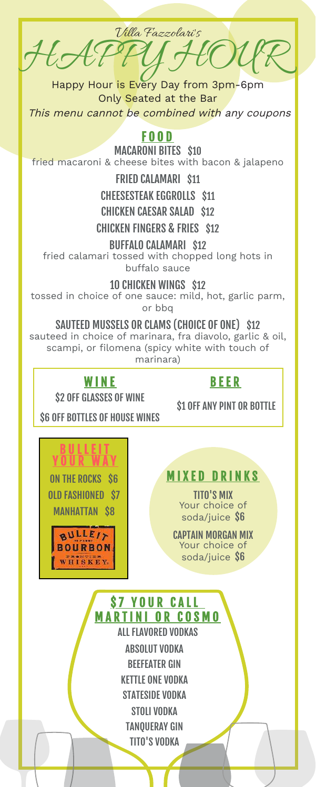HAPPY HOUR Villa Fazzolari's

Happy Hour is Every Day from 3pm-6pm Only Seated at the Bar

This menu cannot be combined with any coupons

### F O O D

MACARONI BITES \$10 fried macaroni & cheese bites with bacon & jalapeno

### FRIED CALAMARI \$11

CHEESESTEAK EGGROLLS \$11

### CHICKEN CAESAR SALAD \$12

CHICKEN FINGERS & FRIES \$12

#### BUFFALO CALAMARI \$12

fried calamari tossed with chopped long hots in buffalo sauce

10 CHICKEN WINGS \$12

tossed in choice of one sauce: mild, hot, garlic parm, or bbq

#### SAUTEED MUSSELS OR CLAMS (CHOICE OF ONE) \$12

sauteed in choice of marinara, fra diavolo, garlic & oil, scampi, or filomena (spicy white with touch of marinara)



### B E E R

\$2 OFF GLASSES OF WINE

**\$1 OFF ANY PINT OR BOTTLE** 

\$6 OFF BOTTLES OF HOUSE WINES

ON THE ROCKS S6 OLD FASHIONED \$7 MANHATTAN \$8 <u>B U L L E I T</u> <u>YOUR WAY</u>

 $BULLE/y$ **BOURBON** WHISKEY

**MIXED DRINKS** 

TITO'S MIX Your choice of soda/juice \$6

CAPTAIN MORGAN MIX Your choice of soda/juice \$6

**\$7 YOUR CALL** M A R T I N I O R C O S M O

ALL FLAVORED VODKAS ABSOLUT VODKA BEEFEATER GIN KETTLE ONE VODKA STATESIDE VODKA STOLI VODKA TANQUERAY GIN

TITO'S VODKA